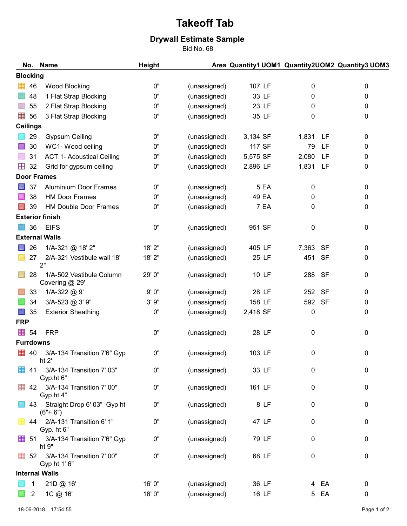## Takeoff Tab

## Drywall Estimate Sample

Bid No. 68

|                    | No.             | <b>Name</b>                                | <b>Height</b> |              |             |              | Area Quantity1 UOM1 Quantity2UOM2 Quantity3 UOM3 |  |  |
|--------------------|-----------------|--------------------------------------------|---------------|--------------|-------------|--------------|--------------------------------------------------|--|--|
|                    | <b>Blocking</b> |                                            |               |              |             |              |                                                  |  |  |
|                    | 46              | <b>Wood Blocking</b>                       | $0"$          | (unassigned) | 107 LF      | 0            | 0                                                |  |  |
|                    | 48              | 1 Flat Strap Blocking                      | 0"            | (unassigned) | 33 LF       | 0            | 0                                                |  |  |
|                    | 55              | 2 Flat Strap Blocking                      | 0"            | (unassigned) | 23 LF       | 0            | 0                                                |  |  |
| 鼺                  | 56              | 3 Flat Strap Blocking                      | 0"            | (unassigned) | 35 LF       | 0            | 0                                                |  |  |
| <b>Ceilings</b>    |                 |                                            |               |              |             |              |                                                  |  |  |
|                    | 29              | <b>Gypsum Ceiling</b>                      | 0"            | (unassigned) | 3,134 SF    | 1,831<br>LF. | 0                                                |  |  |
|                    | 30              | WC1- Wood ceiling                          | 0"            | (unassigned) | 117 SF      | 79           | LF<br>0                                          |  |  |
|                    | 31              | <b>ACT 1- Acoustical Ceiling</b>           | 0"            | (unassigned) | 5,575 SF    | 2,080        | LF<br>0                                          |  |  |
| ⊞                  | 32              | Grid for gypsum ceiling                    | 0"            | (unassigned) | 2,896 LF    | 1,831        | LF<br>0                                          |  |  |
| <b>Door Frames</b> |                 |                                            |               |              |             |              |                                                  |  |  |
|                    | 37              | <b>Aluminium Door Frames</b>               | 0"            | (unassigned) | <b>5 EA</b> | 0            | $\pmb{0}$                                        |  |  |
|                    | 38              | <b>HM Door Frames</b>                      | 0"            | (unassigned) | 49 EA       | 0            | 0                                                |  |  |
|                    | 39              | <b>HM Double Door Frames</b>               | 0"            | (unassigned) | 7 EA        | 0            | 0                                                |  |  |
|                    |                 | <b>Exterior finish</b>                     |               |              |             |              |                                                  |  |  |
|                    | 36              | <b>EIFS</b>                                | $0"$          | (unassigned) | 951 SF      | 0            | 0                                                |  |  |
|                    |                 | <b>External Walls</b>                      |               |              |             |              |                                                  |  |  |
|                    | 26              | 1/A-321 @ 18' 2"                           | 18' 2"        | (unassigned) | 405 LF      | 7,363        | <b>SF</b><br>0                                   |  |  |
|                    | 27              | 2/A-321 Vestibule wall 18'<br>2"           | 18' 2"        | (unassigned) | 25 LF       | 451          | <b>SF</b><br>0                                   |  |  |
|                    | 28              | 1/A-502 Vestibule Column<br>Covering @ 29' | 29' 0"        | (unassigned) | 10 LF       | 288          | <b>SF</b><br>0                                   |  |  |
|                    | 33              | 1/A-322 @ 9'                               | 9'0"          | (unassigned) | 28 LF       | 252          | <b>SF</b><br>0                                   |  |  |
|                    | 34              | 3/A-523 @ 3' 9"                            | 3'9''         | (unassigned) | 158 LF      | 592          | <b>SF</b><br>0                                   |  |  |
|                    | 35              | <b>Exterior Sheathing</b>                  | 0"            | (unassigned) | 2,418 SF    | 0            | 0                                                |  |  |
| <b>FRP</b>         |                 |                                            |               |              |             |              |                                                  |  |  |
| 鼺                  | 54              | <b>FRP</b>                                 | 0"            | (unassigned) | 28 LF       | $\pmb{0}$    | 0                                                |  |  |
| <b>Furrdowns</b>   |                 |                                            |               |              |             |              |                                                  |  |  |
| 壨                  | 40              | 3/A-134 Transition 7'6" Gyp<br>ht $2$      | 0"            | (unassigned) | 103 LF      | 0            | 0                                                |  |  |
|                    | 41              | 3/A-134 Transition 7' 03"<br>Gyp.ht 6"     | 0"            | (unassigned) | 33 LF       | 0            | 0                                                |  |  |
| 雦                  | 42              | 3/A-134 Transition 7' 00"<br>Gyp ht 4"     | 0"            | (unassigned) | 161 LF      | 0            | 0                                                |  |  |
|                    | 43              | Straight Drop 6' 03" Gyp ht<br>$(6" + 6")$ | 0"            | (unassigned) | 8 LF        | 0            | 0                                                |  |  |
|                    | 44              | 2/A-131 Transition 6' 1"<br>Gyp. ht 6"     | $0"$          | (unassigned) | 47 LF       | 0            | 0                                                |  |  |
| 雦                  | -51             | 3/A-134 Transition 7'6" Gyp<br>ht 9"       | 0"            | (unassigned) | 79 LF       | 0            | 0                                                |  |  |
| 雦                  | 52              | 3/A-134 Transition 7' 00"<br>Gyp ht 1' 6"  | 0"            | (unassigned) | 68 LF       | $\pmb{0}$    | 0                                                |  |  |
|                    |                 | <b>Internal Walls</b>                      |               |              |             |              |                                                  |  |  |
|                    |                 | 21D @ 16'                                  | 16' 0"        | (unassigned) | 36 LF       | 4 EA         | 0                                                |  |  |
|                    | 2               | 1C @ 16'                                   | 16' 0"        | (unassigned) | 16 LF       | EA<br>5      | $\pmb{0}$                                        |  |  |